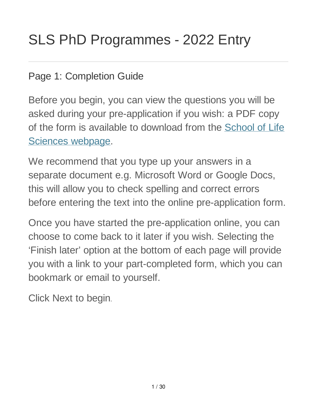## Page 1: Completion Guide

Before you begin, you can view the questions you will be asked during your pre-application if you wish: a PDF copy of the form is available to download from the School of Life Sciences webpage.

We recommend that you type up your answers in a separate document e.g. Microsoft Word or Google Docs, this will allow you to check spelling and correct errors before entering the text into the online pre-application form.

Once you have started the pre-application online, you can choose to come back to it later if you wish. Selecting the 'Finish later' option at the bottom of each page will provide you with a link to your part-completed form, which you can bookmark or email to yourself.

Click Next to begin.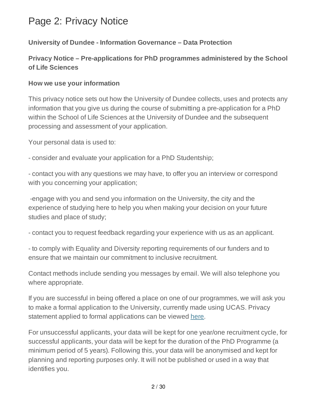# Page 2: Privacy Notice

### **University of Dundee - Information Governance – Data Protection**

### **Privacy Notice – Pre-applications for PhD programmes administered by the School of Life Sciences**

#### **How we use your information**

This privacy notice sets out how the University of Dundee collects, uses and protects any information that you give us during the course of submitting a pre-application for a PhD within the School of Life Sciences at the University of Dundee and the subsequent processing and assessment of your application.

Your personal data is used to:

- consider and evaluate your application for a PhD Studentship;

- contact you with any questions we may have, to offer you an interview or correspond with you concerning your application;

-engage with you and send you information on the University, the city and the experience of studying here to help you when making your decision on your future studies and place of study;

- contact you to request feedback regarding your experience with us as an applicant.

- to comply with Equality and Diversity reporting requirements of our funders and to ensure that we maintain our commitment to inclusive recruitment.

Contact methods include sending you messages by email. We will also telephone you where appropriate.

If you are successful in being offered a place on one of our programmes, we will ask you to make a formal application to the University, currently made using UCAS. Privacy statement applied to formal applications can be viewed here.

For unsuccessful applicants, your data will be kept for one year/one recruitment cycle, for successful applicants, your data will be kept for the duration of the PhD Programme (a minimum period of 5 years). Following this, your data will be anonymised and kept for planning and reporting purposes only. It will not be published or used in a way that identifies you.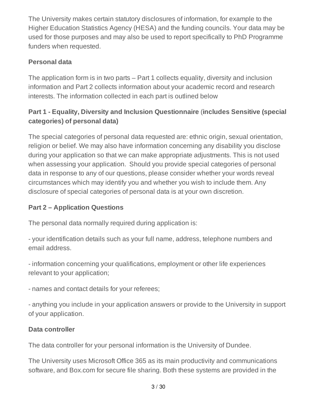The University makes certain statutory disclosures of information, for example to the Higher Education Statistics Agency (HESA) and the funding councils. Your data may be used for those purposes and may also be used to report specifically to PhD Programme funders when requested.

## **Personal data**

The application form is in two parts – Part 1 collects equality, diversity and inclusion information and Part 2 collects information about your academic record and research interests. The information collected in each part is outlined below

## **Part 1 - Equality, Diversity and Inclusion Questionnaire** (**includes Sensitive (special categories) of personal data)**

The special categories of personal data requested are: ethnic origin, sexual orientation, religion or belief. We may also have information concerning any disability you disclose during your application so that we can make appropriate adjustments. This is not used when assessing your application. Should you provide special categories of personal data in response to any of our questions, please consider whether your words reveal circumstances which may identify you and whether you wish to include them. Any disclosure of special categories of personal data is at your own discretion.

## **Part 2 – Application Questions**

The personal data normally required during application is:

- your identification details such as your full name, address, telephone numbers and email address.

- information concerning your qualifications, employment or other life experiences relevant to your application;

- names and contact details for your referees;

- anything you include in your application answers or provide to the University in support of your application.

### **Data controller**

The data controller for your personal information is the University of Dundee.

The University uses Microsoft Office 365 as its main productivity and communications software, and Box.com for secure file sharing. Both these systems are provided in the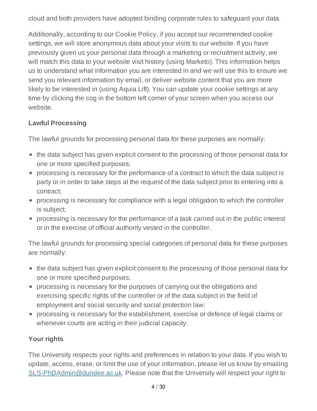cloud and both providers have adopted binding corporate rules to safeguard your data.

Additionally, according to our Cookie Policy, if you accept our recommended cookie settings, we will store anonymous data about your visits to our website. If you have previously given us your personal data through a marketing or recruitment activity, we will match this data to your website visit history (using Marketo). This information helps us to understand what information you are interested in and we will use this to ensure we send you relevant information by email, or deliver website content that you are more likely to be interested in (using Aquia Lift). You can update your cookie settings at any time by clicking the cog in the bottom left corner of your screen when you access our website.

### **Lawful Processing**

The lawful grounds for processing personal data for these purposes are normally:

- the data subject has given explicit consent to the processing of those personal data for one or more specified purposes;
- processing is necessary for the performance of a contract to which the data subject is party or in order to take steps at the request of the data subject prior to entering into a contract;
- processing is necessary for compliance with a legal obligation to which the controller is subject;
- processing is necessary for the performance of a task carried out in the public interest or in the exercise of official authority vested in the controller.

The lawful grounds for processing special categories of personal data for these purposes are normally:

- the data subject has given explicit consent to the processing of those personal data for one or more specified purposes;
- processing is necessary for the purposes of carrying out the obligations and exercising specific rights of the controller or of the data subject in the field of employment and social security and social protection law;
- processing is necessary for the establishment, exercise or defence of legal claims or whenever courts are acting in their judicial capacity.

### **Your rights**

The University respects your rights and preferences in relation to your data. If you wish to update, access, erase, or limit the use of your information, please let us know by emailing SLS-PhDAdmin@dundee.ac.uk. Please note that the University will respect your right to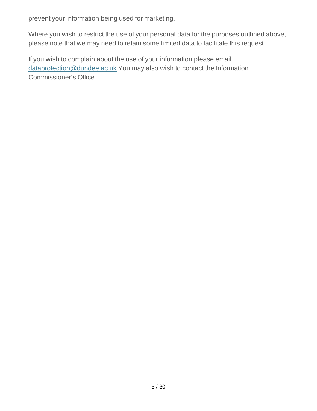prevent your information being used for marketing.

Where you wish to restrict the use of your personal data for the purposes outlined above, please note that we may need to retain some limited data to facilitate this request.

If you wish to complain about the use of your information please email dataprotection@dundee.ac.uk You may also wish to contact the Information Commissioner's Office.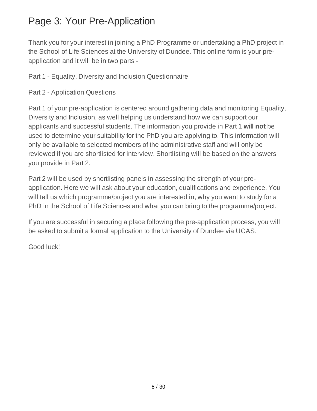# Page 3: Your Pre-Application

Thank you for your interest in joining a PhD Programme or undertaking a PhD project in the School of Life Sciences at the University of Dundee. This online form is your preapplication and it will be in two parts -

Part 1 - Equality, Diversity and Inclusion Questionnaire

Part 2 - Application Questions

Part 1 of your pre-application is centered around gathering data and monitoring Equality, Diversity and Inclusion, as well helping us understand how we can support our applicants and successful students. The information you provide in Part 1 **will not** be used to determine your suitability for the PhD you are applying to. This information will only be available to selected members of the administrative staff and will only be reviewed if you are shortlisted for interview. Shortlisting will be based on the answers you provide in Part 2.

Part 2 will be used by shortlisting panels in assessing the strength of your preapplication. Here we will ask about your education, qualifications and experience. You will tell us which programme/project you are interested in, why you want to study for a PhD in the School of Life Sciences and what you can bring to the programme/project.

If you are successful in securing a place following the pre-application process, you will be asked to submit a formal application to the University of Dundee via UCAS.

Good luck!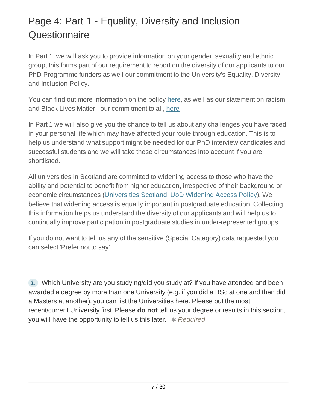# Page 4: Part 1 - Equality, Diversity and Inclusion **Questionnaire**

In Part 1, we will ask you to provide information on your gender, sexuality and ethnic group, this forms part of our requirement to report on the diversity of our applicants to our PhD Programme funders as well our commitment to the University's Equality, Diversity and Inclusion Policy.

You can find out more information on the policy here, as well as our statement on racism and Black Lives Matter - our commitment to all, here

In Part 1 we will also give you the chance to tell us about any challenges you have faced in your personal life which may have affected your route through education. This is to help us understand what support might be needed for our PhD interview candidates and successful students and we will take these circumstances into account if you are shortlisted.

All universities in Scotland are committed to widening access to those who have the ability and potential to benefit from higher education, irrespective of their background or economic circumstances (Universities Scotland, UoD Widening Access Policy). We believe that widening access is equally important in postgraduate education. Collecting this information helps us understand the diversity of our applicants and will help us to continually improve participation in postgraduate studies in under-represented groups.

If you do not want to tell us any of the sensitive (Special Category) data requested you can select 'Prefer not to say'.

*1.* Which University are you studying/did you study at? If you have attended and been awarded a degree by more than one University (e.g. if you did a BSc at one and then did a Masters at another), you can list the Universities here. Please put the most recent/current University first. Please **do not** tell us your degree or results in this section, you will have the opportunity to tell us this later.  $*$  Required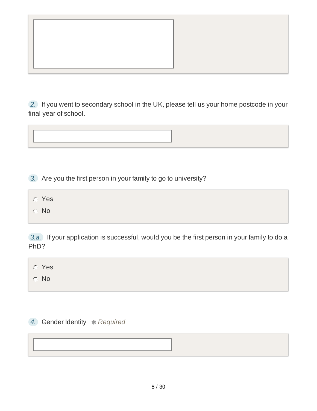*2.* If you went to secondary school in the UK, please tell us your home postcode in your final year of school.



*3.* Are you the first person in your family to go to university?

- Yes
- No

*3.a.* If your application is successful, would you be the first person in your family to do a PhD?

| <b>C</b> Yes |  |  |  |
|--------------|--|--|--|
| $\circ$ No   |  |  |  |

*4.* Gender Identity *Required*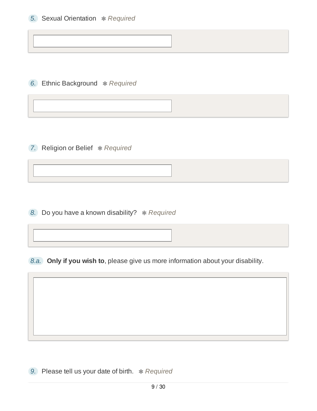**6.** Ethnic Background \* Required

**7.** Religion or Belief  $*$  Required

8. Do you have a known disability? \* Required

*8.a.* **Only if you wish to**, please give us more information about your disability.

**9.** Please tell us your date of birth.  $*$  Required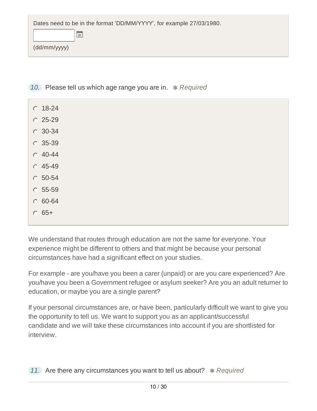| Dates need to be in the format 'DD/MM/YYYY', for example 27/03/1980. |  |  |  |  |
|----------------------------------------------------------------------|--|--|--|--|
|                                                                      |  |  |  |  |
| (dd/mm/yyyy)                                                         |  |  |  |  |
|                                                                      |  |  |  |  |

- 10. Please tell us which age range you are in.  $*$  Required
	- $0.18 24$
	- $C$  25-29
	- **30-34**
	- C 35-39
	- $C$  40-44
	- $O$  45-49
	- $O.50 54$
	- $C.55-59$
	- $0.60 64$
	- $65+$

We understand that routes through education are not the same for everyone. Your experience might be different to others and that might be because your personal circumstances have had a significant effect on your studies.

For example - are you/have you been a carer (unpaid) or are you care experienced? Are you/have you been a Government refugee or asylum seeker? Are you an adult returner to education, or maybe you are a single parent?

If your personal circumstances are, or have been, particularly difficult we want to give you the opportunity to tell us. We want to support you as an applicant/successful candidate and we will take these circumstances into account if you are shortlisted for interview.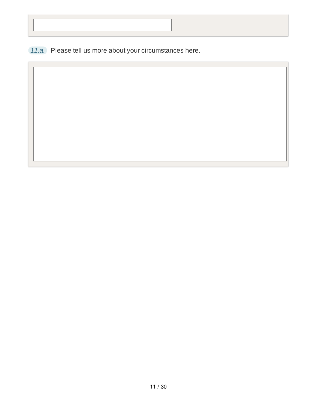*11.a.* Please tell us more about your circumstances here.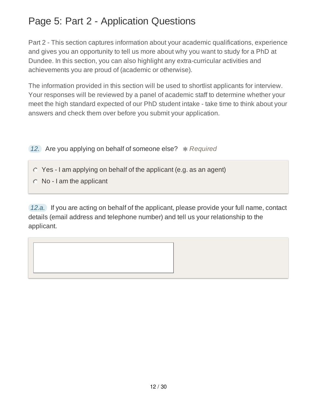# Page 5: Part 2 - Application Questions

Part 2 - This section captures information about your academic qualifications, experience and gives you an opportunity to tell us more about why you want to study for a PhD at Dundee. In this section, you can also highlight any extra-curricular activities and achievements you are proud of (academic or otherwise).

The information provided in this section will be used to shortlist applicants for interview. Your responses will be reviewed by a panel of academic staff to determine whether your meet the high standard expected of our PhD student intake - take time to think about your answers and check them over before you submit your application.

- *12.* Are you applying on behalf of someone else?  $*$  Required
	- $\circ$  Yes I am applying on behalf of the applicant (e.g. as an agent)
	- $\circ$  No I am the applicant

*12.a.* If you are acting on behalf of the applicant, please provide your full name, contact details (email address and telephone number) and tell us your relationship to the applicant.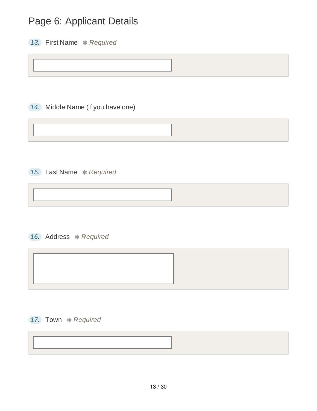# Page 6: Applicant Details

*13.* First Name *Required*

*14.* Middle Name (if you have one)

*15.* Last Name *Required*

*16.* Address *Required*



#### *17.* Town *Required*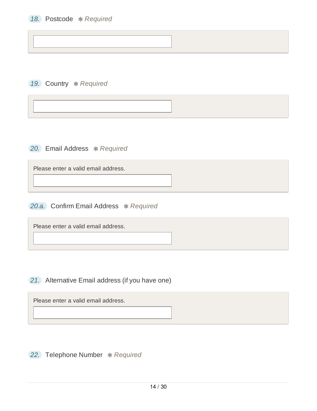19. Country *\* Required* 

**20.** Email Address  $*$  Required

Please enter a valid email address.

**20.a.** Confirm Email Address \* Required

Please enter a valid email address.

*21.* Alternative Email address (if you have one)

Please enter a valid email address.

**22.** Telephone Number \* Required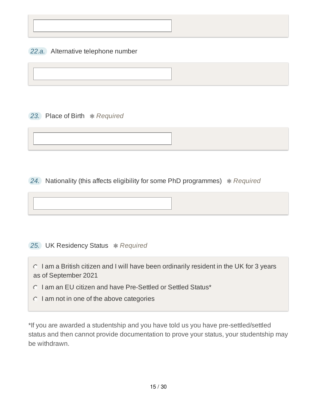*22.a.* Alternative telephone number

**23.** Place of Birth  $*$  Required

**24.** Nationality (this affects eligibility for some PhD programmes) \*Required

**25.** UK Residency Status  $*$  Required

 $\circ$  I am a British citizen and I will have been ordinarily resident in the UK for 3 years as of September 2021

 $\circ$  I am an EU citizen and have Pre-Settled or Settled Status\*

 $\circ$  I am not in one of the above categories

\*If you are awarded a studentship and you have told us you have pre-settled/settled status and then cannot provide documentation to prove your status, your studentship may be withdrawn.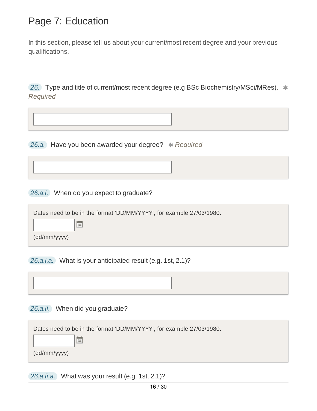## Page 7: Education

In this section, please tell us about your current/most recent degree and your previous qualifications.

26. Type and title of current/most recent degree (e.g BSc Biochemistry/MSci/MRes).  $*$ *Required*

**26.a.** Have you been awarded your degree? \* Required

*26.a.i.* When do you expect to graduate?

| Dates need to be in the format 'DD/MM/YYYY', for example 27/03/1980. |  |
|----------------------------------------------------------------------|--|
|----------------------------------------------------------------------|--|

(dd/mm/yyyy)

*26.a.i.a.* What is your anticipated result (e.g. 1st, 2.1)?

*26.a.ii.* When did you graduate?

 $\frac{1}{31}$ 

| Dates need to be in the format 'DD/MM/YYYY', for example 27/03/1980. |    |  |  |
|----------------------------------------------------------------------|----|--|--|
|                                                                      | 31 |  |  |
| (dd/mm/yyyy)                                                         |    |  |  |

*26.a.ii.a.* What was your result (e.g. 1st, 2.1)?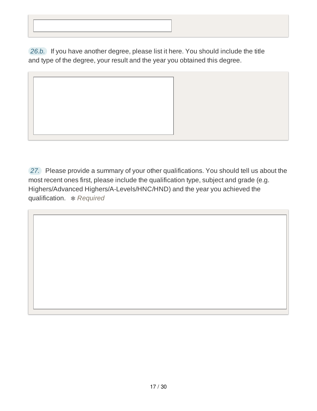*26.b.* If you have another degree, please list it here. You should include the title and type of the degree, your result and the year you obtained this degree.



*27.* Please provide a summary of your other qualifications. You should tell us about the most recent ones first, please include the qualification type, subject and grade (e.g. Highers/Advanced Highers/A-Levels/HNC/HND) and the year you achieved the qualification. *Required*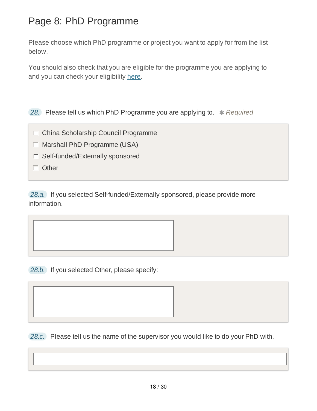# Page 8: PhD Programme

Please choose which PhD programme or project you want to apply for from the list below.

You should also check that you are eligible for the programme you are applying to and you can check your eligibility here.

**28.** Please tell us which PhD Programme you are applying to.  $*$  Required

- China Scholarship Council Programme
- Marshall PhD Programme (USA)
- Self-funded/Externally sponsored
- $\Box$  Other

*28.a.* If you selected Self-funded/Externally sponsored, please provide more information.

*28.b.* If you selected Other, please specify:

*28.c.* Please tell us the name of the supervisor you would like to do your PhD with.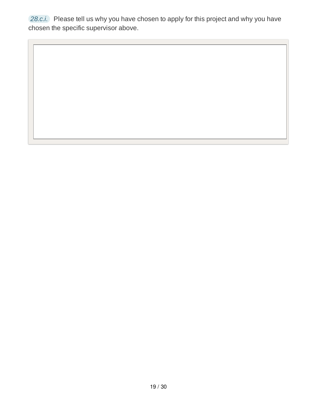*28.c.i.* Please tell us why you have chosen to apply for this project and why you have chosen the specific supervisor above.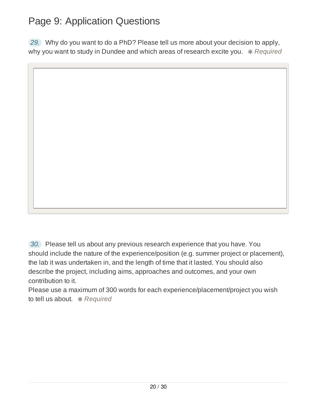# Page 9: Application Questions

*29.* Why do you want to do a PhD? Please tell us more about your decision to apply, why you want to study in Dundee and which areas of research excite you. \* Required

*30.* Please tell us about any previous research experience that you have. You should include the nature of the experience/position (e.g. summer project or placement), the lab it was undertaken in, and the length of time that it lasted. You should also

describe the project, including aims, approaches and outcomes, and your own contribution to it.

Please use a maximum of 300 words for each experience/placement/project you wish to tell us about. *Required*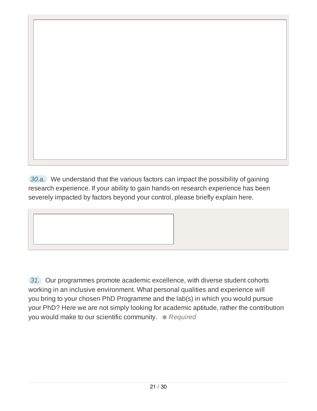*30.a.* We understand that the various factors can impact the possibility of gaining research experience. If your ability to gain hands-on research experience has been severely impacted by factors beyond your control, please briefly explain here.

*31.* Our programmes promote academic excellence, with diverse student cohorts working in an inclusive environment. What personal qualities and experience will you bring to your chosen PhD Programme and the lab(s) in which you would pursue your PhD? Here we are not simply looking for academic aptitude, rather the contribution you would make to our scientific community. **\*** Required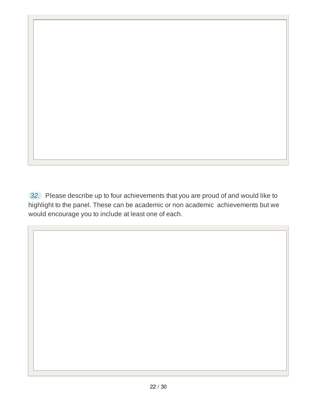*32.* Please describe up to four achievements that you are proud of and would like to highlight to the panel. These can be academic or non academic achievements but we would encourage you to include at least one of each.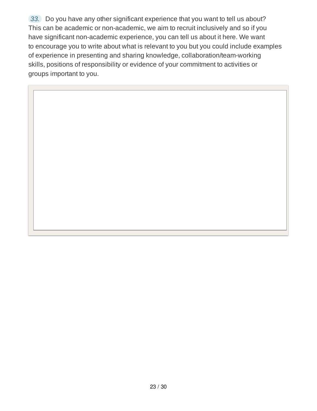*33.* Do you have any other significant experience that you want to tell us about? This can be academic or non-academic, we aim to recruit inclusively and so if you have significant non-academic experience, you can tell us about it here. We want to encourage you to write about what is relevant to you but you could include examples of experience in presenting and sharing knowledge, collaboration/team-working skills, positions of responsibility or evidence of your commitment to activities or groups important to you.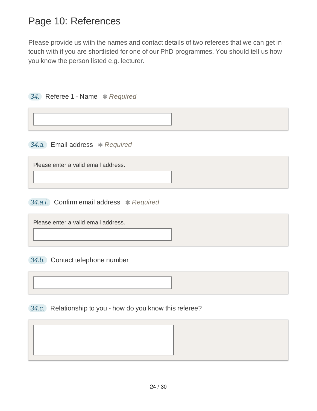## Page 10: References

Please provide us with the names and contact details of two referees that we can get in touch with if you are shortlisted for one of our PhD programmes. You should tell us how you know the person listed e.g. lecturer.

| 34. Referee 1 - Name * Required     |  |  |  |
|-------------------------------------|--|--|--|
|                                     |  |  |  |
| 34.a. Email address * Required      |  |  |  |
| Please enter a valid email address. |  |  |  |

*34.a.i.* Confirm email address *Required*

Please enter a valid email address.

*34.b.* Contact telephone number

*34.c.* Relationship to you - how do you know this referee?

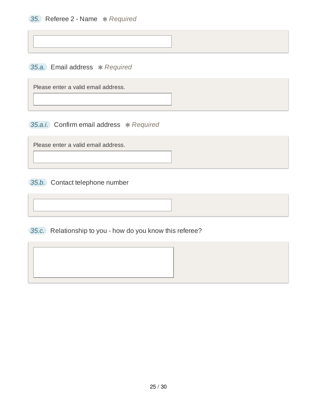*35.a.* Email address *Required*

Please enter a valid email address.

*35.a.i.* Confirm email address *Required*

Please enter a valid email address.

*35.b.* Contact telephone number

*35.c.* Relationship to you - how do you know this referee?

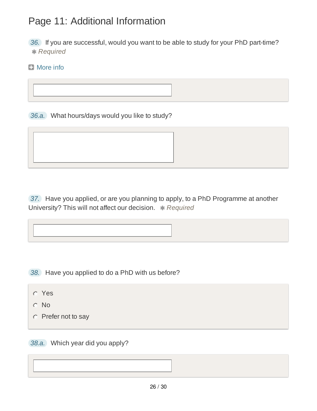# Page 11: Additional Information

*36.* If you are successful, would you want to be able to study for your PhD part-time? *Required*

### **El** More info



*37.* Have you applied, or are you planning to apply, to a PhD Programme at another University? This will not affect our decision. \* Required

*38.* Have you applied to do a PhD with us before?

- Yes
- No
- $\circ$  Prefer not to say

*38.a.* Which year did you apply?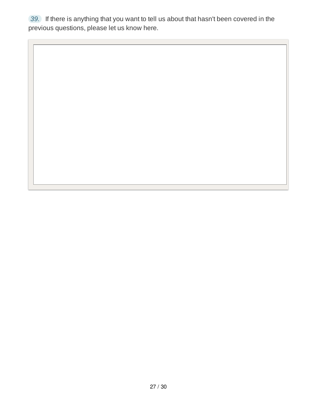*39.* If there is anything that you want to tell us about that hasn't been covered in the previous questions, please let us know here.